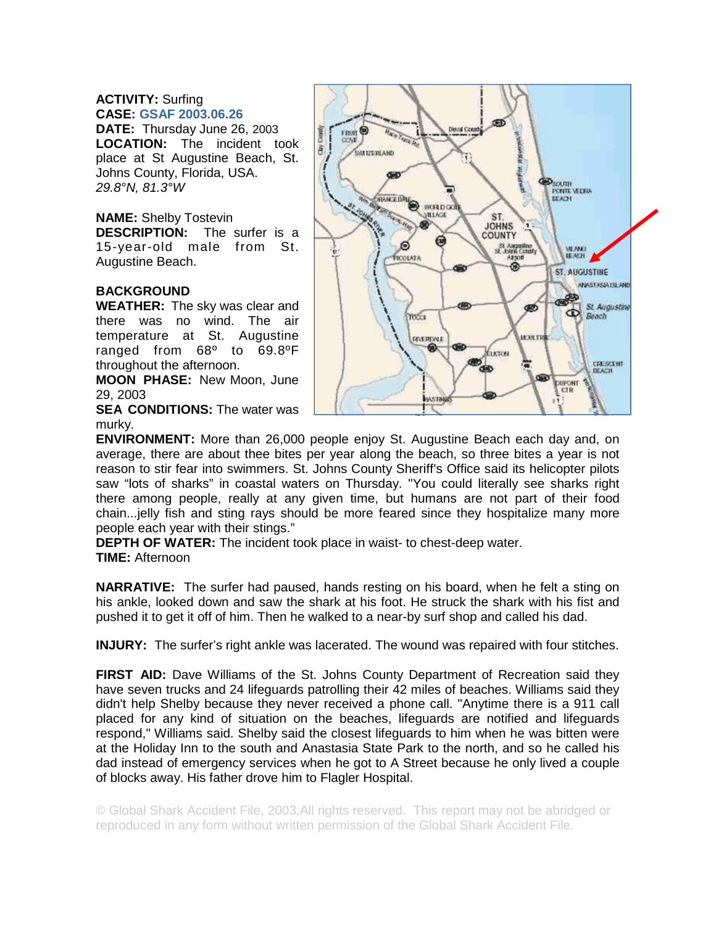## **ACTIVITY:** Surfing **CASE: GSAF 2003.06.26**

**DATE:** Thursday June 26, 2003 **LOCATION:** The incident took place at St Augustine Beach, St. Johns County, Florida, USA. *29.8°N, 81.3°W* 

## **NAME:** Shelby Tostevin

**DESCRIPTION:** The surfer is a 15-year-old male from St. Augustine Beach.

## **BACKGROUND**

**WEATHER:** The sky was clear and there was no wind. The air temperature at St. Augustine ranged from 68º to 69.8ºF throughout the afternoon.

**MOON PHASE:** New Moon, June 29, 2003

**SEA CONDITIONS: The water was** murky.



**ENVIRONMENT:** More than 26,000 people enjoy St. Augustine Beach each day and, on average, there are about thee bites per year along the beach, so three bites a year is not reason to stir fear into swimmers. St. Johns County Sheriff's Office said its helicopter pilots saw "lots of sharks" in coastal waters on Thursday. "You could literally see sharks right there among people, really at any given time, but humans are not part of their food chain...jelly fish and sting rays should be more feared since they hospitalize many more people each year with their stings."

**DEPTH OF WATER:** The incident took place in waist- to chest-deep water. **TIME:** Afternoon

**NARRATIVE:** The surfer had paused, hands resting on his board, when he felt a sting on his ankle, looked down and saw the shark at his foot. He struck the shark with his fist and pushed it to get it off of him. Then he walked to a near-by surf shop and called his dad.

**INJURY:** The surfer's right ankle was lacerated. The wound was repaired with four stitches.

**FIRST AID:** Dave Williams of the St. Johns County Department of Recreation said they have seven trucks and 24 lifeguards patrolling their 42 miles of beaches. Williams said they didn't help Shelby because they never received a phone call. "Anytime there is a 911 call placed for any kind of situation on the beaches, lifeguards are notified and lifeguards respond," Williams said. Shelby said the closest lifeguards to him when he was bitten were at the Holiday Inn to the south and Anastasia State Park to the north, and so he called his dad instead of emergency services when he got to A Street because he only lived a couple of blocks away. His father drove him to Flagler Hospital.

© Global Shark Accident File, 2003.All rights reserved. This report may not be abridged or reproduced in any form without written permission of the Global Shark Accident File.